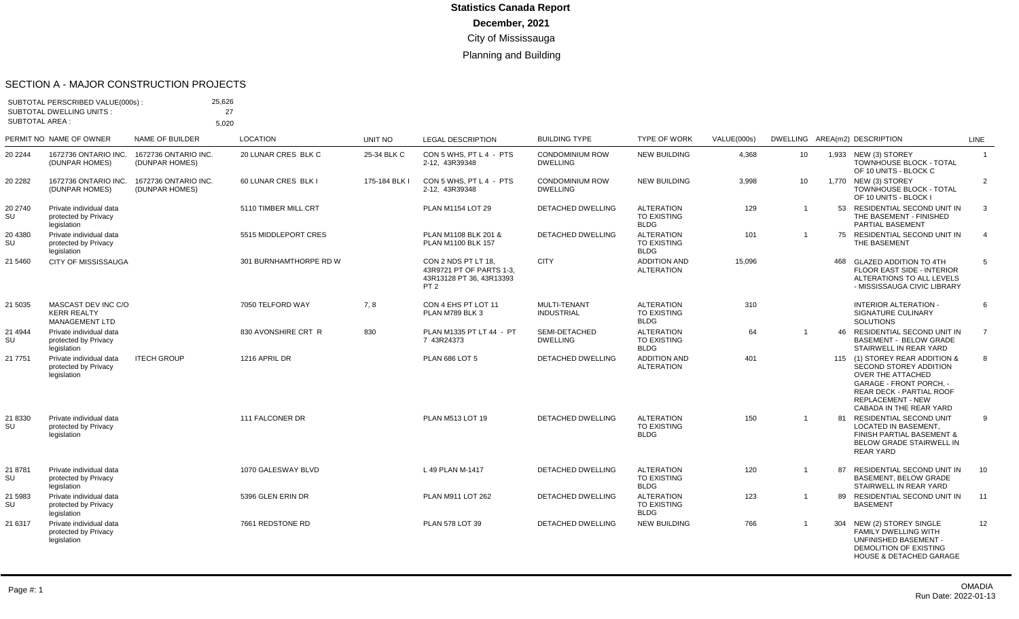#### SECTION A - MAJOR CONSTRUCTION PROJECTS

| SUBTOTAL AREA : | SUBTOTAL PERSCRIBED VALUE(000s):<br><b>SUBTOTAL DWELLING UNITS:</b> | 25,626<br>27                           |                        |               |                                                                                                |                                           |                                                        |             |                |     |                                                                                                                                                                                                           |                |
|-----------------|---------------------------------------------------------------------|----------------------------------------|------------------------|---------------|------------------------------------------------------------------------------------------------|-------------------------------------------|--------------------------------------------------------|-------------|----------------|-----|-----------------------------------------------------------------------------------------------------------------------------------------------------------------------------------------------------------|----------------|
|                 | PERMIT NO NAME OF OWNER                                             | 5,020<br>NAME OF BUILDER               | <b>LOCATION</b>        | UNIT NO       | <b>LEGAL DESCRIPTION</b>                                                                       | <b>BUILDING TYPE</b>                      | <b>TYPE OF WORK</b>                                    | VALUE(000s) |                |     | DWELLING AREA(m2) DESCRIPTION                                                                                                                                                                             | <b>LINE</b>    |
| 20 2244         | 1672736 ONTARIO INC.<br>(DUNPAR HOMES)                              | 1672736 ONTARIO INC.<br>(DUNPAR HOMES) | 20 LUNAR CRES BLK C    | 25-34 BLK C   | CON 5 WHS, PT L 4 - PTS<br>2-12. 43R39348                                                      | <b>CONDOMINIUM ROW</b><br><b>DWELLING</b> | <b>NEW BUILDING</b>                                    | 4,368       | 10             |     | 1,933 NEW (3) STOREY<br><b>TOWNHOUSE BLOCK - TOTAL</b><br>OF 10 UNITS - BLOCK C                                                                                                                           | $\overline{1}$ |
| 20 2282         | 1672736 ONTARIO INC.<br>(DUNPAR HOMES)                              | 1672736 ONTARIO INC.<br>(DUNPAR HOMES) | 60 LUNAR CRES BLK I    | 175-184 BLK I | CON 5 WHS, PT L 4 - PTS<br>2-12. 43R39348                                                      | <b>CONDOMINIUM ROW</b><br><b>DWELLING</b> | <b>NEW BUILDING</b>                                    | 3,998       | 10             |     | 1,770 NEW (3) STOREY<br><b>TOWNHOUSE BLOCK - TOTAL</b><br>OF 10 UNITS - BLOCK I                                                                                                                           | 2              |
| 20 2740<br>SU   | Private individual data<br>protected by Privacy<br>legislation      |                                        | 5110 TIMBER MILL CRT   |               | PLAN M1154 LOT 29                                                                              | <b>DETACHED DWELLING</b>                  | <b>ALTERATION</b><br><b>TO EXISTING</b><br><b>BLDG</b> | 129         | $\mathbf 1$    | 53  | RESIDENTIAL SECOND UNIT IN<br>THE BASEMENT - FINISHED<br><b>PARTIAL BASEMENT</b>                                                                                                                          | 3              |
| 20 4380<br>SU   | Private individual data<br>protected by Privacy<br>legislation      |                                        | 5515 MIDDLEPORT CRES   |               | PLAN M1108 BLK 201 &<br>PLAN M1100 BLK 157                                                     | <b>DETACHED DWELLING</b>                  | <b>ALTERATION</b><br>TO EXISTING<br><b>BLDG</b>        | 101         | $\overline{1}$ |     | 75 RESIDENTIAL SECOND UNIT IN<br>THE BASEMENT                                                                                                                                                             | $\overline{4}$ |
| 21 5460         | <b>CITY OF MISSISSAUGA</b>                                          |                                        | 301 BURNHAMTHORPE RD W |               | CON 2 NDS PT LT 18.<br>43R9721 PT OF PARTS 1-3,<br>43R13128 PT 36, 43R13393<br>PT <sub>2</sub> | <b>CITY</b>                               | <b>ADDITION AND</b><br><b>ALTERATION</b>               | 15,096      |                | 468 | <b>GLAZED ADDITION TO 4TH</b><br>FLOOR EAST SIDE - INTERIOR<br>ALTERATIONS TO ALL LEVELS<br>- MISSISSAUGA CIVIC LIBRARY                                                                                   | 5              |
| 21 5035         | MASCAST DEV INC C/O<br><b>KERR REALTY</b><br><b>MANAGEMENT LTD</b>  |                                        | 7050 TELFORD WAY       | 7, 8          | CON 4 EHS PT LOT 11<br>PLAN M789 BLK 3                                                         | MULTI-TENANT<br><b>INDUSTRIAL</b>         | <b>ALTERATION</b><br>TO EXISTING<br><b>BLDG</b>        | 310         |                |     | <b>INTERIOR ALTERATION -</b><br>SIGNATURE CULINARY<br><b>SOLUTIONS</b>                                                                                                                                    | 6              |
| 21 4944<br>SU   | Private individual data<br>protected by Privacy<br>legislation      |                                        | 830 AVONSHIRE CRT R    | 830           | PLAN M1335 PT LT 44 - PT<br>7 43R24373                                                         | SEMI-DETACHED<br><b>DWELLING</b>          | <b>ALTERATION</b><br><b>TO EXISTING</b><br><b>BLDG</b> | 64          | $\overline{1}$ |     | 46 RESIDENTIAL SECOND UNIT IN<br><b>BASEMENT - BELOW GRADE</b><br>STAIRWELL IN REAR YARD                                                                                                                  | $\overline{7}$ |
| 21 7751         | Private individual data<br>protected by Privacy<br>legislation      | <b>ITECH GROUP</b>                     | 1216 APRIL DR          |               | <b>PLAN 686 LOT 5</b>                                                                          | DETACHED DWELLING                         | <b>ADDITION AND</b><br><b>ALTERATION</b>               | 401         |                |     | 115 (1) STOREY REAR ADDITION &<br>SECOND STOREY ADDITION<br>OVER THE ATTACHED<br><b>GARAGE - FRONT PORCH. -</b><br><b>REAR DECK - PARTIAL ROOF</b><br><b>REPLACEMENT - NEW</b><br>CABADA IN THE REAR YARD | 8              |
| 21 8330<br>SU   | Private individual data<br>protected by Privacy<br>legislation      |                                        | 111 FALCONER DR        |               | PLAN M513 LOT 19                                                                               | <b>DETACHED DWELLING</b>                  | <b>ALTERATION</b><br><b>TO EXISTING</b><br><b>BLDG</b> | 150         | $\overline{1}$ |     | 81 RESIDENTIAL SECOND UNIT<br><b>LOCATED IN BASEMENT.</b><br>FINISH PARTIAL BASEMENT &<br><b>BELOW GRADE STAIRWELL IN</b><br><b>REAR YARD</b>                                                             | 9              |
| 21 8781<br>SU   | Private individual data<br>protected by Privacy<br>legislation      |                                        | 1070 GALESWAY BLVD     |               | L 49 PLAN M-1417                                                                               | <b>DETACHED DWELLING</b>                  | <b>ALTERATION</b><br>TO EXISTING<br><b>BLDG</b>        | 120         | $\overline{1}$ | 87  | RESIDENTIAL SECOND UNIT IN<br>BASEMENT, BELOW GRADE<br>STAIRWELL IN REAR YARD                                                                                                                             | 10             |
| 21 5983<br>SU   | Private individual data<br>protected by Privacy<br>legislation      |                                        | 5396 GLEN ERIN DR      |               | PLAN M911 LOT 262                                                                              | <b>DETACHED DWELLING</b>                  | <b>ALTERATION</b><br><b>TO EXISTING</b><br><b>BLDG</b> | 123         | $\overline{1}$ | 89  | RESIDENTIAL SECOND UNIT IN<br><b>BASEMENT</b>                                                                                                                                                             | 11             |
| 21 6317         | Private individual data<br>protected by Privacy<br>legislation      |                                        | 7661 REDSTONE RD       |               | PLAN 578 LOT 39                                                                                | <b>DETACHED DWELLING</b>                  | <b>NEW BUILDING</b>                                    | 766         |                |     | 304 NEW (2) STOREY SINGLE<br><b>FAMILY DWELLING WITH</b><br>UNFINISHED BASEMENT -<br>DEMOLITION OF EXISTING<br><b>HOUSE &amp; DETACHED GARAGE</b>                                                         | 12             |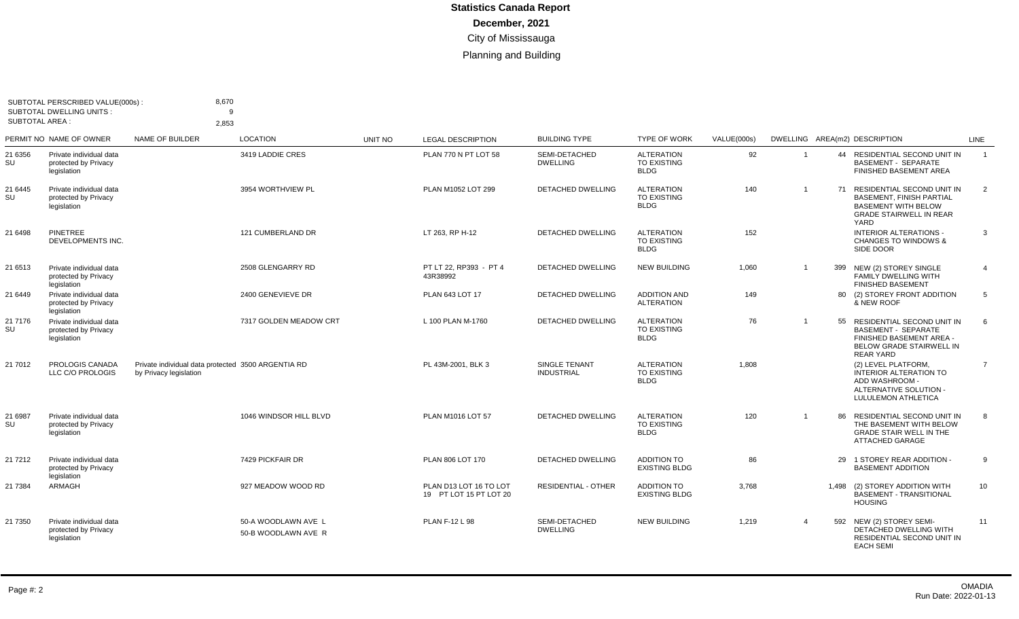|               | SUBTOTAL PERSCRIBED VALUE(000s):<br><b>SUBTOTAL DWELLING UNITS:</b><br><b>SUBTOTAL AREA:</b> |                                                                              | 8,670<br>9                                 |         |                                                  |                                    |                                                        |             |                |       |                                                                                                                                             |                |
|---------------|----------------------------------------------------------------------------------------------|------------------------------------------------------------------------------|--------------------------------------------|---------|--------------------------------------------------|------------------------------------|--------------------------------------------------------|-------------|----------------|-------|---------------------------------------------------------------------------------------------------------------------------------------------|----------------|
|               | PERMIT NO NAME OF OWNER                                                                      | 2,853<br><b>NAME OF BUILDER</b>                                              | <b>LOCATION</b>                            | UNIT NO | <b>LEGAL DESCRIPTION</b>                         | <b>BUILDING TYPE</b>               | <b>TYPE OF WORK</b>                                    | VALUE(000s) |                |       | DWELLING AREA(m2) DESCRIPTION                                                                                                               | LINE           |
| 21 6356<br>SU | Private individual data<br>protected by Privacy<br>legislation                               |                                                                              | 3419 LADDIE CRES                           |         | PLAN 770 N PT LOT 58                             | SEMI-DETACHED<br><b>DWELLING</b>   | <b>ALTERATION</b><br><b>TO EXISTING</b><br><b>BLDG</b> | 92          | $\overline{1}$ |       | 44 RESIDENTIAL SECOND UNIT IN<br><b>BASEMENT - SEPARATE</b><br>FINISHED BASEMENT AREA                                                       | $\overline{1}$ |
| 21 6445<br>SU | Private individual data<br>protected by Privacy<br>legislation                               |                                                                              | 3954 WORTHVIEW PL                          |         | PLAN M1052 LOT 299                               | <b>DETACHED DWELLING</b>           | <b>ALTERATION</b><br>TO EXISTING<br><b>BLDG</b>        | 140         | $\mathbf{1}$   |       | 71 RESIDENTIAL SECOND UNIT IN<br><b>BASEMENT, FINISH PARTIAL</b><br><b>BASEMENT WITH BELOW</b><br><b>GRADE STAIRWELL IN REAR</b><br>YARD    | 2              |
| 21 6498       | <b>PINETREE</b><br>DEVELOPMENTS INC.                                                         |                                                                              | 121 CUMBERLAND DR                          |         | LT 263. RP H-12                                  | <b>DETACHED DWELLING</b>           | <b>ALTERATION</b><br>TO EXISTING<br><b>BLDG</b>        | 152         |                |       | <b>INTERIOR ALTERATIONS -</b><br><b>CHANGES TO WINDOWS &amp;</b><br>SIDE DOOR                                                               | 3              |
| 21 6513       | Private individual data<br>protected by Privacy<br>legislation                               |                                                                              | 2508 GLENGARRY RD                          |         | PT LT 22. RP393 - PT 4<br>43R38992               | <b>DETACHED DWELLING</b>           | <b>NEW BUILDING</b>                                    | 1,060       | $\overline{1}$ | 399   | NEW (2) STOREY SINGLE<br><b>FAMILY DWELLING WITH</b><br><b>FINISHED BASEMENT</b>                                                            | $\overline{4}$ |
| 21 6449       | Private individual data<br>protected by Privacy<br>legislation                               |                                                                              | 2400 GENEVIEVE DR                          |         | PLAN 643 LOT 17                                  | <b>DETACHED DWELLING</b>           | <b>ADDITION AND</b><br><b>ALTERATION</b>               | 149         |                |       | 80 (2) STOREY FRONT ADDITION<br>& NEW ROOF                                                                                                  | 5              |
| 21 7176<br>SU | Private individual data<br>protected by Privacy<br>legislation                               |                                                                              | 7317 GOLDEN MEADOW CRT                     |         | L 100 PLAN M-1760                                | <b>DETACHED DWELLING</b>           | <b>ALTERATION</b><br><b>TO EXISTING</b><br><b>BLDG</b> | 76          | $\mathbf{1}$   | 55    | <b>RESIDENTIAL SECOND UNIT IN</b><br><b>BASEMENT - SEPARATE</b><br>FINISHED BASEMENT AREA -<br>BELOW GRADE STAIRWELL IN<br><b>REAR YARD</b> | 6              |
| 21 7012       | PROLOGIS CANADA<br>LLC C/O PROLOGIS                                                          | Private individual data protected 3500 ARGENTIA RD<br>by Privacy legislation |                                            |         | PL 43M-2001, BLK 3                               | SINGLE TENANT<br><b>INDUSTRIAL</b> | <b>ALTERATION</b><br><b>TO EXISTING</b><br><b>BLDG</b> | 1,808       |                |       | (2) LEVEL PLATFORM,<br><b>INTERIOR ALTERATION TO</b><br>ADD WASHROOM -<br>ALTERNATIVE SOLUTION -<br>LULULEMON ATHLETICA                     | $\overline{7}$ |
| 21 6987<br>SU | Private individual data<br>protected by Privacy<br>legislation                               |                                                                              | 1046 WINDSOR HILL BLVD                     |         | PLAN M1016 LOT 57                                | <b>DETACHED DWELLING</b>           | <b>ALTERATION</b><br><b>TO EXISTING</b><br><b>BLDG</b> | 120         | $\overline{1}$ | 86    | <b>RESIDENTIAL SECOND UNIT IN</b><br>THE BASEMENT WITH BELOW<br><b>GRADE STAIR WELL IN THE</b><br>ATTACHED GARAGE                           | 8              |
| 21 7 21 2     | Private individual data<br>protected by Privacy<br>legislation                               |                                                                              | 7429 PICKFAIR DR                           |         | PLAN 806 LOT 170                                 | DETACHED DWELLING                  | <b>ADDITION TO</b><br><b>EXISTING BLDG</b>             | 86          |                | 29    | 1 STOREY REAR ADDITION -<br><b>BASEMENT ADDITION</b>                                                                                        | 9              |
| 21 7384       | ARMAGH                                                                                       |                                                                              | 927 MEADOW WOOD RD                         |         | PLAN D13 LOT 16 TO LOT<br>19 PT LOT 15 PT LOT 20 | <b>RESIDENTIAL - OTHER</b>         | <b>ADDITION TO</b><br><b>EXISTING BLDG</b>             | 3.768       |                | 1.498 | (2) STOREY ADDITION WITH<br><b>BASEMENT - TRANSITIONAL</b><br><b>HOUSING</b>                                                                | 10             |
| 21 7350       | Private individual data<br>protected by Privacy<br>legislation                               |                                                                              | 50-A WOODLAWN AVE L<br>50-B WOODLAWN AVE R |         | <b>PLAN F-12 L 98</b>                            | SEMI-DETACHED<br><b>DWELLING</b>   | <b>NEW BUILDING</b>                                    | 1,219       | $\overline{4}$ |       | 592 NEW (2) STOREY SEMI-<br>DETACHED DWELLING WITH<br>RESIDENTIAL SECOND UNIT IN<br><b>EACH SEMI</b>                                        | 11             |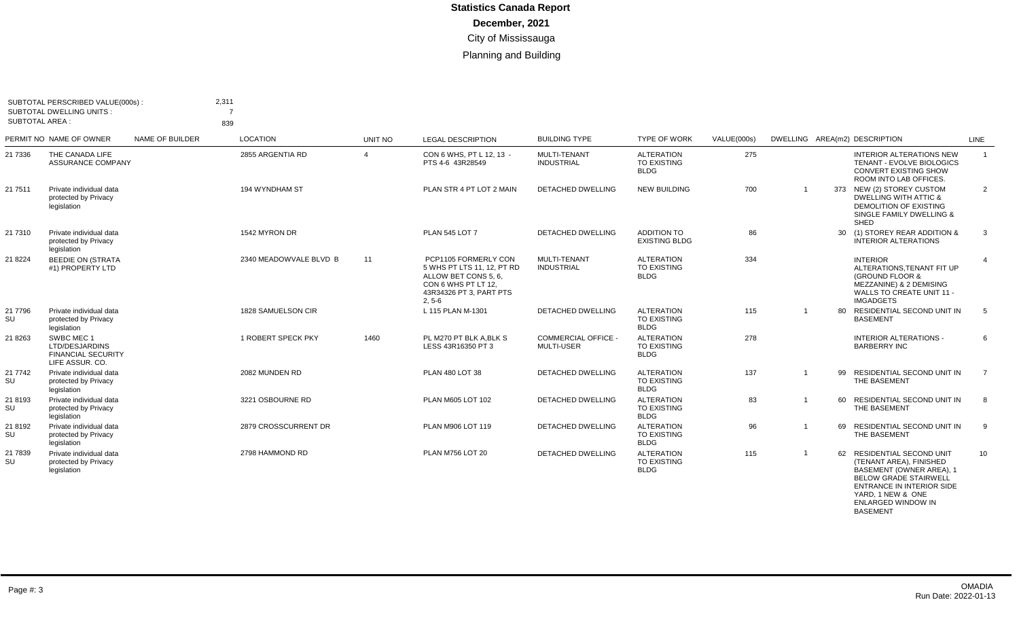| SUBTOTAL AREA : | SUBTOTAL PERSCRIBED VALUE(000s):<br><b>SUBTOTAL DWELLING UNITS:</b>          |                 | 2,311<br>839           |                        |                                                                                                                                          |                                                 |                                                        |             |                |    |                                                                                                                                                     |                |
|-----------------|------------------------------------------------------------------------------|-----------------|------------------------|------------------------|------------------------------------------------------------------------------------------------------------------------------------------|-------------------------------------------------|--------------------------------------------------------|-------------|----------------|----|-----------------------------------------------------------------------------------------------------------------------------------------------------|----------------|
|                 | PERMIT NO NAME OF OWNER                                                      | NAME OF BUILDER | <b>LOCATION</b>        | UNIT NO                | <b>LEGAL DESCRIPTION</b>                                                                                                                 | <b>BUILDING TYPE</b>                            | <b>TYPE OF WORK</b>                                    | VALUE(000s) |                |    | DWELLING AREA(m2) DESCRIPTION                                                                                                                       | LINE           |
| 21 7336         | THE CANADA LIFE<br><b>ASSURANCE COMPANY</b>                                  |                 | 2855 ARGENTIA RD       | $\boldsymbol{\Lambda}$ | CON 6 WHS, PT L 12, 13 -<br>PTS 4-6 43R28549                                                                                             | MULTI-TENANT<br><b>INDUSTRIAL</b>               | <b>ALTERATION</b><br>TO EXISTING<br><b>BLDG</b>        | 275         |                |    | <b>INTERIOR ALTERATIONS NEW</b><br>TENANT - EVOLVE BIOLOGICS<br><b>CONVERT EXISTING SHOW</b><br>ROOM INTO LAB OFFICES.                              | $\mathbf{1}$   |
| 21 7511         | Private individual data<br>protected by Privacy<br>legislation               |                 | 194 WYNDHAM ST         |                        | PLAN STR 4 PT LOT 2 MAIN                                                                                                                 | <b>DETACHED DWELLING</b>                        | <b>NEW BUILDING</b>                                    | 700         | $\overline{1}$ |    | 373 NEW (2) STOREY CUSTOM<br><b>DWELLING WITH ATTIC &amp;</b><br>DEMOLITION OF EXISTING<br>SINGLE FAMILY DWELLING &<br>SHED                         | $\overline{2}$ |
| 21 7310         | Private individual data<br>protected by Privacy<br>legislation               |                 | 1542 MYRON DR          |                        | <b>PLAN 545 LOT 7</b>                                                                                                                    | <b>DETACHED DWELLING</b>                        | <b>ADDITION TO</b><br><b>EXISTING BLDG</b>             | 86          |                |    | 30 (1) STOREY REAR ADDITION &<br><b>INTERIOR ALTERATIONS</b>                                                                                        | 3              |
| 21 8224         | <b>BEEDIE ON (STRATA</b><br>#1) PROPERTY LTD                                 |                 | 2340 MEADOWVALE BLVD B | 11                     | PCP1105 FORMERLY CON<br>5 WHS PT LTS 11, 12, PT RD<br>ALLOW BET CONS 5, 6,<br>CON 6 WHS PT LT 12.<br>43R34326 PT 3. PART PTS<br>$2, 5-6$ | MULTI-TENANT<br><b>INDUSTRIAL</b>               | <b>ALTERATION</b><br>TO EXISTING<br><b>BLDG</b>        | 334         |                |    | <b>INTERIOR</b><br>ALTERATIONS, TENANT FIT UP<br>(GROUND FLOOR &<br>MEZZANINE) & 2 DEMISING<br><b>WALLS TO CREATE UNIT 11 -</b><br><b>IMGADGETS</b> | $\overline{4}$ |
| 21 7796<br>SU   | Private individual data<br>protected by Privacy<br>legislation               |                 | 1828 SAMUELSON CIR     |                        | L 115 PLAN M-1301                                                                                                                        | <b>DETACHED DWELLING</b>                        | <b>ALTERATION</b><br>TO EXISTING<br><b>BLDG</b>        | 115         | -1             | 80 | RESIDENTIAL SECOND UNIT IN<br><b>BASEMENT</b>                                                                                                       | 5              |
| 21 8263         | SWBC MEC 1<br>LTD/DESJARDINS<br><b>FINANCIAL SECURITY</b><br>LIFE ASSUR, CO. |                 | 1 ROBERT SPECK PKY     | 1460                   | PL M270 PT BLK A.BLK S<br>LESS 43R16350 PT 3                                                                                             | <b>COMMERCIAL OFFICE -</b><br><b>MULTI-USER</b> | <b>ALTERATION</b><br><b>TO EXISTING</b><br><b>BLDG</b> | 278         |                |    | <b>INTERIOR ALTERATIONS -</b><br><b>BARBERRY INC</b>                                                                                                | 6              |
| 21 7742<br>SU   | Private individual data<br>protected by Privacy<br>legislation               |                 | 2082 MUNDEN RD         |                        | PLAN 480 LOT 38                                                                                                                          | <b>DETACHED DWELLING</b>                        | <b>ALTERATION</b><br>TO EXISTING<br><b>BLDG</b>        | 137         | -1             | 99 | RESIDENTIAL SECOND UNIT IN<br>THE BASEMENT                                                                                                          | $\overline{7}$ |
| 21 8193<br>SU   | Private individual data<br>protected by Privacy<br>legislation               |                 | 3221 OSBOURNE RD       |                        | PLAN M605 LOT 102                                                                                                                        | <b>DETACHED DWELLING</b>                        | <b>ALTERATION</b><br>TO EXISTING<br><b>BLDG</b>        | 83          |                |    | 60 RESIDENTIAL SECOND UNIT IN<br>THE BASEMENT                                                                                                       | 8              |
| 21 8192<br>SU   | Private individual data<br>protected by Privacy<br>legislation               |                 | 2879 CROSSCURRENT DR   |                        | PLAN M906 LOT 119                                                                                                                        | <b>DETACHED DWELLING</b>                        | <b>ALTERATION</b><br>TO EXISTING<br><b>BLDG</b>        | 96          |                |    | 69 RESIDENTIAL SECOND UNIT IN<br>THE BASEMENT                                                                                                       | 9              |
| 21 7839<br>SU   | Private individual data<br>protected by Privacy<br>legislation               |                 | 2798 HAMMOND RD        |                        | PLAN M756 LOT 20                                                                                                                         | <b>DETACHED DWELLING</b>                        | <b>ALTERATION</b><br>TO EXISTING<br><b>BLDG</b>        | 115         |                | 62 | RESIDENTIAL SECOND UNIT<br>(TENANT AREA), FINISHED<br>BASEMENT (OWNER AREA), 1<br><b>BELOW GRADE STAIRWELL</b><br>ENTRANCE IN INTERIOR SIDE         | 10             |

YARD, 1 NEW & ONE ENLARGED WINDOW IN

BASEMENT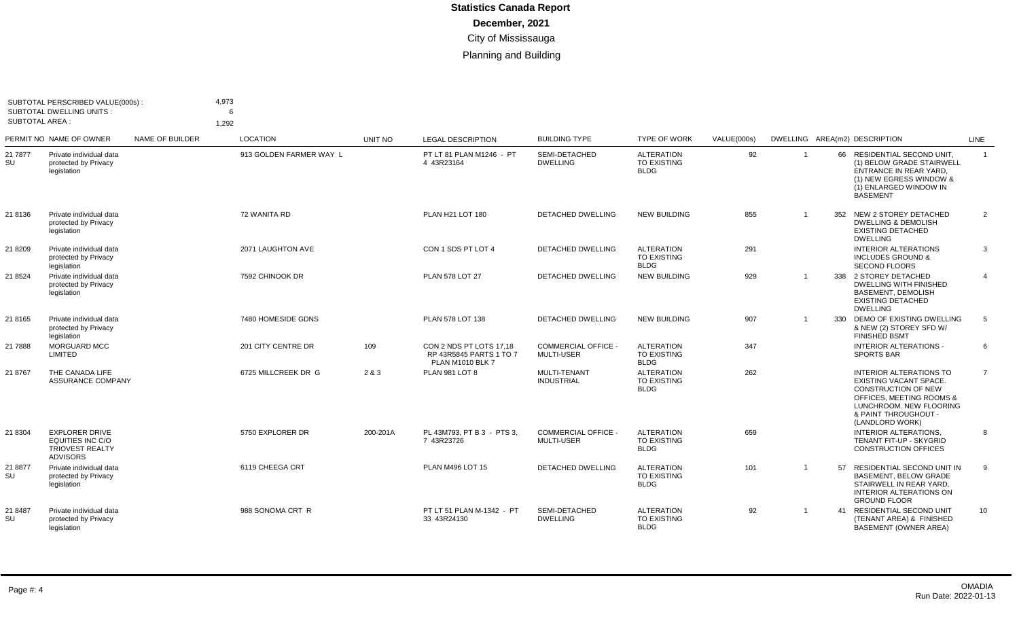| <b>SUBTOTAL AREA:</b> | SUBTOTAL PERSCRIBED VALUE(000s):<br><b>SUBTOTAL DWELLING UNITS:</b>                    |                 | 4,973<br>6<br>1,292     |          |                                                                               |                                                 |                                                        |             |                |    |                                                                                                                                                                                          |                |
|-----------------------|----------------------------------------------------------------------------------------|-----------------|-------------------------|----------|-------------------------------------------------------------------------------|-------------------------------------------------|--------------------------------------------------------|-------------|----------------|----|------------------------------------------------------------------------------------------------------------------------------------------------------------------------------------------|----------------|
|                       | PERMIT NO NAME OF OWNER                                                                | NAME OF BUILDER | <b>LOCATION</b>         | UNIT NO  | <b>LEGAL DESCRIPTION</b>                                                      | <b>BUILDING TYPE</b>                            | <b>TYPE OF WORK</b>                                    | VALUE(000s) |                |    | DWELLING AREA(m2) DESCRIPTION                                                                                                                                                            | LINE           |
| 21 7877<br>SU         | Private individual data<br>protected by Privacy<br>legislation                         |                 | 913 GOLDEN FARMER WAY L |          | PT LT 81 PLAN M1246 - PT<br>4 43R23164                                        | SEMI-DETACHED<br><b>DWELLING</b>                | <b>ALTERATION</b><br><b>TO EXISTING</b><br><b>BLDG</b> | 92          | $\overline{1}$ |    | 66 RESIDENTIAL SECOND UNIT,<br>(1) BELOW GRADE STAIRWELL<br>ENTRANCE IN REAR YARD.<br>(1) NEW EGRESS WINDOW &<br>(1) ENLARGED WINDOW IN<br><b>BASEMENT</b>                               | $\mathbf{1}$   |
| 21 8136               | Private individual data<br>protected by Privacy<br>legislation                         |                 | 72 WANITA RD            |          | PLAN H21 LOT 180                                                              | <b>DETACHED DWELLING</b>                        | <b>NEW BUILDING</b>                                    | 855         |                |    | 352 NEW 2 STOREY DETACHED<br><b>DWELLING &amp; DEMOLISH</b><br><b>EXISTING DETACHED</b><br><b>DWELLING</b>                                                                               | $\overline{2}$ |
| 21 8209               | Private individual data<br>protected by Privacy<br>legislation                         |                 | 2071 LAUGHTON AVE       |          | CON 1 SDS PT LOT 4                                                            | DETACHED DWELLING                               | <b>ALTERATION</b><br><b>TO EXISTING</b><br><b>BLDG</b> | 291         |                |    | <b>INTERIOR ALTERATIONS</b><br><b>INCLUDES GROUND &amp;</b><br><b>SECOND FLOORS</b>                                                                                                      | 3              |
| 21 8524               | Private individual data<br>protected by Privacy<br>legislation                         |                 | 7592 CHINOOK DR         |          | <b>PLAN 578 LOT 27</b>                                                        | <b>DETACHED DWELLING</b>                        | <b>NEW BUILDING</b>                                    | 929         |                |    | 338 2 STOREY DETACHED<br>DWELLING WITH FINISHED<br><b>BASEMENT, DEMOLISH</b><br><b>EXISTING DETACHED</b><br><b>DWELLING</b>                                                              | $\overline{4}$ |
| 21 8165               | Private individual data<br>protected by Privacy<br>legislation                         |                 | 7480 HOMESIDE GDNS      |          | PLAN 578 LOT 138                                                              | <b>DETACHED DWELLING</b>                        | <b>NEW BUILDING</b>                                    | 907         |                |    | 330 DEMO OF EXISTING DWELLING<br>& NEW (2) STOREY SFD W/<br><b>FINISHED BSMT</b>                                                                                                         | 5              |
| 21 7888               | <b>MORGUARD MCC</b><br>LIMITED                                                         |                 | 201 CITY CENTRE DR      | 109      | CON 2 NDS PT LOTS 17.18<br>RP 43R5845 PARTS 1 TO 7<br><b>PLAN M1010 BLK 7</b> | <b>COMMERCIAL OFFICE -</b><br><b>MULTI-USER</b> | <b>ALTERATION</b><br><b>TO EXISTING</b><br><b>BLDG</b> | 347         |                |    | <b>INTERIOR ALTERATIONS -</b><br><b>SPORTS BAR</b>                                                                                                                                       | 6              |
| 21 8767               | THE CANADA LIFE<br>ASSURANCE COMPANY                                                   |                 | 6725 MILLCREEK DR G     | 2 & 3    | <b>PLAN 981 LOT 8</b>                                                         | MULTI-TENANT<br><b>INDUSTRIAL</b>               | <b>ALTERATION</b><br><b>TO EXISTING</b><br><b>BLDG</b> | 262         |                |    | <b>INTERIOR ALTERATIONS TO</b><br>EXISTING VACANT SPACE.<br><b>CONSTRUCTION OF NEW</b><br>OFFICES, MEETING ROOMS &<br>LUNCHROOM. NEW FLOORING<br>& PAINT THROUGHOUT -<br>(LANDLORD WORK) | $\overline{7}$ |
| 21 8304               | <b>EXPLORER DRIVE</b><br>EQUITIES INC C/O<br><b>TRIOVEST REALTY</b><br><b>ADVISORS</b> |                 | 5750 EXPLORER DR        | 200-201A | PL 43M793, PT B 3 - PTS 3,<br>7 43R23726                                      | <b>COMMERCIAL OFFICE -</b><br><b>MULTI-USER</b> | <b>ALTERATION</b><br><b>TO EXISTING</b><br><b>BLDG</b> | 659         |                |    | <b>INTERIOR ALTERATIONS.</b><br>TENANT FIT-UP - SKYGRID<br><b>CONSTRUCTION OFFICES</b>                                                                                                   | 8              |
| 21 8877<br>SU         | Private individual data<br>protected by Privacy<br>legislation                         |                 | 6119 CHEEGA CRT         |          | PLAN M496 LOT 15                                                              | <b>DETACHED DWELLING</b>                        | <b>ALTERATION</b><br><b>TO EXISTING</b><br><b>BLDG</b> | 101         | $\overline{1}$ | 57 | RESIDENTIAL SECOND UNIT IN<br><b>BASEMENT, BELOW GRADE</b><br>STAIRWELL IN REAR YARD.<br><b>INTERIOR ALTERATIONS ON</b><br><b>GROUND FLOOR</b>                                           | 9              |
| 21 8487<br>SU         | Private individual data<br>protected by Privacy<br>legislation                         |                 | 988 SONOMA CRT R        |          | PT LT 51 PLAN M-1342 - PT<br>33 43R24130                                      | SEMI-DETACHED<br><b>DWELLING</b>                | <b>ALTERATION</b><br>TO EXISTING<br><b>BLDG</b>        | 92          | $\overline{1}$ |    | 41 RESIDENTIAL SECOND UNIT<br>(TENANT AREA) & FINISHED<br><b>BASEMENT (OWNER AREA)</b>                                                                                                   | 10             |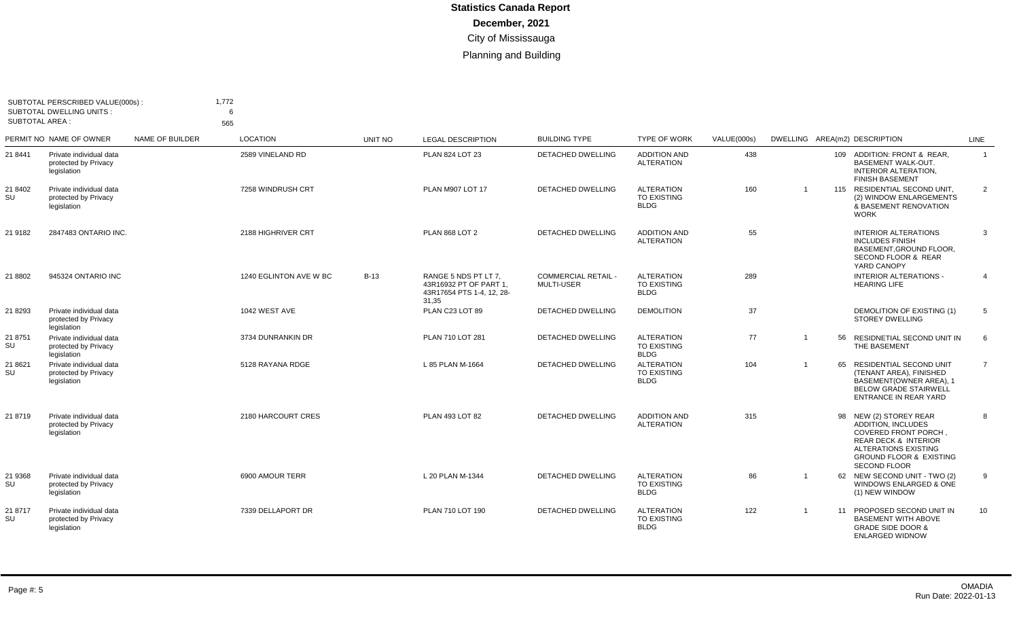| SUBTOTAL PERSCRIBED VALUE(000s):<br><b>SUBTOTAL DWELLING UNITS:</b><br><b>SUBTOTAL AREA:</b> |                                                                |                 | 1,772<br>6<br>565      |         |                                                                                      |                                          |                                                        |             |                |    |                                                                                                                                                                                                                   |                |
|----------------------------------------------------------------------------------------------|----------------------------------------------------------------|-----------------|------------------------|---------|--------------------------------------------------------------------------------------|------------------------------------------|--------------------------------------------------------|-------------|----------------|----|-------------------------------------------------------------------------------------------------------------------------------------------------------------------------------------------------------------------|----------------|
|                                                                                              | PERMIT NO NAME OF OWNER                                        | NAME OF BUILDER | <b>LOCATION</b>        | UNIT NO | <b>LEGAL DESCRIPTION</b>                                                             | <b>BUILDING TYPE</b>                     | <b>TYPE OF WORK</b>                                    | VALUE(000s) |                |    | DWELLING AREA(m2) DESCRIPTION                                                                                                                                                                                     | LINE           |
| 21 8441                                                                                      | Private individual data<br>protected by Privacy<br>legislation |                 | 2589 VINELAND RD       |         | PLAN 824 LOT 23                                                                      | <b>DETACHED DWELLING</b>                 | <b>ADDITION AND</b><br><b>ALTERATION</b>               | 438         |                |    | 109 ADDITION: FRONT & REAR.<br>BASEMENT WALK-OUT.<br><b>INTERIOR ALTERATION.</b><br><b>FINISH BASEMENT</b>                                                                                                        | $\overline{1}$ |
| 21 8402<br>SU                                                                                | Private individual data<br>protected by Privacy<br>legislation |                 | 7258 WINDRUSH CRT      |         | PLAN M907 LOT 17                                                                     | <b>DETACHED DWELLING</b>                 | <b>ALTERATION</b><br><b>TO EXISTING</b><br><b>BLDG</b> | 160         | -1             |    | 115 RESIDENTIAL SECOND UNIT,<br>(2) WINDOW ENLARGEMENTS<br>& BASEMENT RENOVATION<br><b>WORK</b>                                                                                                                   | 2              |
| 21 9182                                                                                      | 2847483 ONTARIO INC.                                           |                 | 2188 HIGHRIVER CRT     |         | <b>PLAN 868 LOT 2</b>                                                                | <b>DETACHED DWELLING</b>                 | <b>ADDITION AND</b><br><b>ALTERATION</b>               | 55          |                |    | <b>INTERIOR ALTERATIONS</b><br><b>INCLUDES FINISH</b><br>BASEMENT.GROUND FLOOR.<br>SECOND FLOOR & REAR<br>YARD CANOPY                                                                                             | 3              |
| 21 8802                                                                                      | 945324 ONTARIO INC                                             |                 | 1240 EGLINTON AVE W BC | $B-13$  | RANGE 5 NDS PT LT 7.<br>43R16932 PT OF PART 1.<br>43R17654 PTS 1-4, 12, 28-<br>31,35 | <b>COMMERCIAL RETAIL -</b><br>MULTI-USER | <b>ALTERATION</b><br><b>TO EXISTING</b><br><b>BLDG</b> | 289         |                |    | <b>INTERIOR ALTERATIONS -</b><br><b>HEARING LIFE</b>                                                                                                                                                              | $\overline{4}$ |
| 21 8293                                                                                      | Private individual data<br>protected by Privacy<br>legislation |                 | 1042 WEST AVE          |         | PLAN C23 LOT 89                                                                      | <b>DETACHED DWELLING</b>                 | <b>DEMOLITION</b>                                      | 37          |                |    | DEMOLITION OF EXISTING (1)<br><b>STOREY DWELLING</b>                                                                                                                                                              | $\overline{5}$ |
| 21 8751<br>SU                                                                                | Private individual data<br>protected by Privacy<br>legislation |                 | 3734 DUNRANKIN DR      |         | PLAN 710 LOT 281                                                                     | <b>DETACHED DWELLING</b>                 | <b>ALTERATION</b><br>TO EXISTING<br><b>BLDG</b>        | 77          | $\overline{1}$ | 56 | RESIDNETIAL SECOND UNIT IN<br>THE BASEMENT                                                                                                                                                                        | 6              |
| 21 8621<br>SU                                                                                | Private individual data<br>protected by Privacy<br>legislation |                 | 5128 RAYANA RDGE       |         | L 85 PLAN M-1664                                                                     | <b>DETACHED DWELLING</b>                 | <b>ALTERATION</b><br><b>TO EXISTING</b><br><b>BLDG</b> | 104         | $\overline{1}$ | 65 | <b>RESIDENTIAL SECOND UNIT</b><br>(TENANT AREA), FINISHED<br>BASEMENT(OWNER AREA), 1<br><b>BELOW GRADE STAIRWELL</b><br>ENTRANCE IN REAR YARD                                                                     | $\overline{7}$ |
| 21 8719                                                                                      | Private individual data<br>protected by Privacy<br>legislation |                 | 2180 HARCOURT CRES     |         | PLAN 493 LOT 82                                                                      | <b>DETACHED DWELLING</b>                 | <b>ADDITION AND</b><br><b>ALTERATION</b>               | 315         |                |    | 98 NEW (2) STOREY REAR<br><b>ADDITION. INCLUDES</b><br><b>COVERED FRONT PORCH,</b><br><b>REAR DECK &amp; INTERIOR</b><br><b>ALTERATIONS EXISTING</b><br><b>GROUND FLOOR &amp; EXISTING</b><br><b>SECOND FLOOR</b> | 8              |
| 21 9368<br>SU                                                                                | Private individual data<br>protected by Privacy<br>legislation |                 | 6900 AMOUR TERR        |         | L 20 PLAN M-1344                                                                     | <b>DETACHED DWELLING</b>                 | <b>ALTERATION</b><br>TO EXISTING<br><b>BLDG</b>        | 86          | -1             |    | 62 NEW SECOND UNIT - TWO (2)<br>WINDOWS ENLARGED & ONE<br>(1) NEW WINDOW                                                                                                                                          | 9              |
| 21 8717<br>SU                                                                                | Private individual data<br>protected by Privacy<br>legislation |                 | 7339 DELLAPORT DR      |         | PLAN 710 LOT 190                                                                     | <b>DETACHED DWELLING</b>                 | <b>ALTERATION</b><br>TO EXISTING<br><b>BLDG</b>        | 122         | -1             | 11 | PROPOSED SECOND UNIT IN<br><b>BASEMENT WITH ABOVE</b><br><b>GRADE SIDE DOOR &amp;</b><br><b>ENLARGED WIDNOW</b>                                                                                                   | 10             |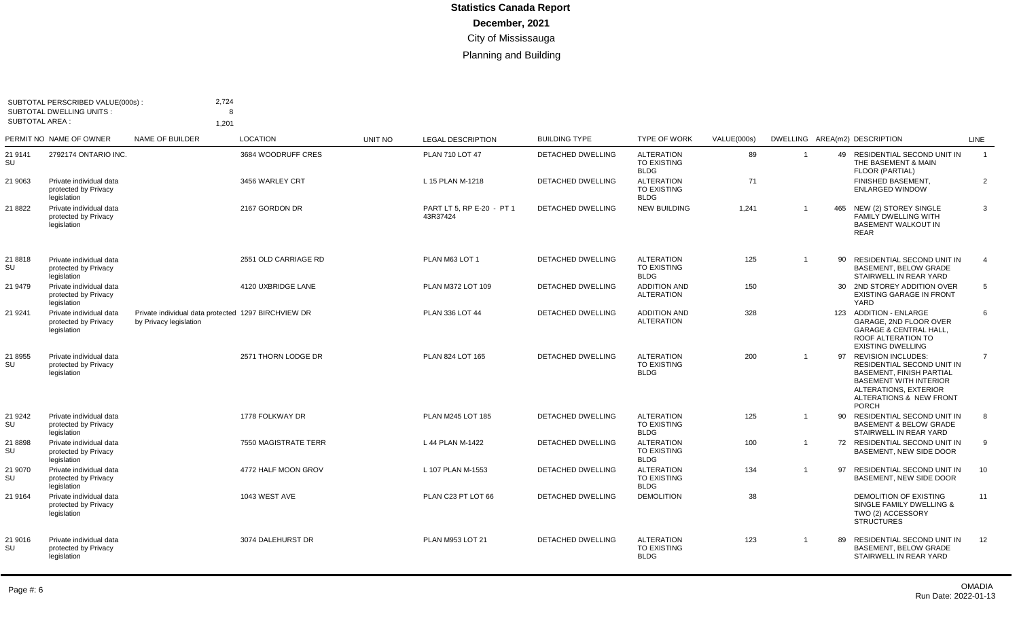| SUBTOTAL PERSCRIBED VALUE(000s):<br><b>SUBTOTAL DWELLING UNITS:</b><br><b>SUBTOTAL AREA:</b> |                                                                | 2,724<br>1,201                                                                | 8                    |         |                                       |                          |                                                        |             |                         |     |                                                                                                                                                                                             |                |
|----------------------------------------------------------------------------------------------|----------------------------------------------------------------|-------------------------------------------------------------------------------|----------------------|---------|---------------------------------------|--------------------------|--------------------------------------------------------|-------------|-------------------------|-----|---------------------------------------------------------------------------------------------------------------------------------------------------------------------------------------------|----------------|
|                                                                                              | PERMIT NO NAME OF OWNER                                        | NAME OF BUILDER                                                               | <b>LOCATION</b>      | UNIT NO | <b>LEGAL DESCRIPTION</b>              | <b>BUILDING TYPE</b>     | <b>TYPE OF WORK</b>                                    | VALUE(000s) |                         |     | DWELLING AREA(m2) DESCRIPTION                                                                                                                                                               | LINE           |
| 21 9141<br>SU                                                                                | 2792174 ONTARIO INC.                                           |                                                                               | 3684 WOODRUFF CRES   |         | PLAN 710 LOT 47                       | <b>DETACHED DWELLING</b> | <b>ALTERATION</b><br><b>TO EXISTING</b><br><b>BLDG</b> | 89          | -1                      |     | 49 RESIDENTIAL SECOND UNIT IN<br>THE BASEMENT & MAIN<br>FLOOR (PARTIAL)                                                                                                                     | $\overline{1}$ |
| 21 9063                                                                                      | Private individual data<br>protected by Privacy<br>legislation |                                                                               | 3456 WARLEY CRT      |         | L 15 PLAN M-1218                      | DETACHED DWELLING        | <b>ALTERATION</b><br>TO EXISTING<br><b>BLDG</b>        | 71          |                         |     | FINISHED BASEMENT,<br><b>ENLARGED WINDOW</b>                                                                                                                                                | $\overline{2}$ |
| 21 8822                                                                                      | Private individual data<br>protected by Privacy<br>legislation |                                                                               | 2167 GORDON DR       |         | PART LT 5, RP E-20 - PT 1<br>43R37424 | <b>DETACHED DWELLING</b> | <b>NEW BUILDING</b>                                    | 1,241       | $\overline{1}$          | 465 | NEW (2) STOREY SINGLE<br>FAMILY DWELLING WITH<br><b>BASEMENT WALKOUT IN</b><br><b>REAR</b>                                                                                                  | 3              |
| 21 8818<br>SU                                                                                | Private individual data<br>protected by Privacy<br>legislation |                                                                               | 2551 OLD CARRIAGE RD |         | PLAN M63 LOT 1                        | <b>DETACHED DWELLING</b> | <b>ALTERATION</b><br><b>TO EXISTING</b><br><b>BLDG</b> | 125         | $\overline{1}$          | 90  | RESIDENTIAL SECOND UNIT IN<br><b>BASEMENT, BELOW GRADE</b><br>STAIRWELL IN REAR YARD                                                                                                        | $\overline{4}$ |
| 21 9479                                                                                      | Private individual data<br>protected by Privacy<br>legislation |                                                                               | 4120 UXBRIDGE LANE   |         | PLAN M372 LOT 109                     | <b>DETACHED DWELLING</b> | <b>ADDITION AND</b><br><b>ALTERATION</b>               | 150         |                         |     | 30 2ND STOREY ADDITION OVER<br><b>EXISTING GARAGE IN FRONT</b><br>YARD                                                                                                                      | 5              |
| 21 9241                                                                                      | Private individual data<br>protected by Privacy<br>legislation | Private individual data protected 1297 BIRCHVIEW DR<br>by Privacy legislation |                      |         | PLAN 336 LOT 44                       | DETACHED DWELLING        | <b>ADDITION AND</b><br><b>ALTERATION</b>               | 328         |                         |     | 123 ADDITION - ENLARGE<br>GARAGE, 2ND FLOOR OVER<br><b>GARAGE &amp; CENTRAL HALL,</b><br>ROOF ALTERATION TO<br><b>EXISTING DWELLING</b>                                                     | 6              |
| 21 8955<br>SU                                                                                | Private individual data<br>protected by Privacy<br>legislation |                                                                               | 2571 THORN LODGE DR  |         | PLAN 824 LOT 165                      | DETACHED DWELLING        | <b>ALTERATION</b><br><b>TO EXISTING</b><br><b>BLDG</b> | 200         | $\overline{1}$          |     | 97 REVISION INCLUDES:<br>RESIDENTIAL SECOND UNIT IN<br><b>BASEMENT, FINISH PARTIAL</b><br><b>BASEMENT WITH INTERIOR</b><br>ALTERATIONS, EXTERIOR<br>ALTERATIONS & NEW FRONT<br><b>PORCH</b> | $\overline{7}$ |
| 21 9242<br>SU                                                                                | Private individual data<br>protected by Privacy<br>legislation |                                                                               | 1778 FOLKWAY DR      |         | PLAN M245 LOT 185                     | DETACHED DWELLING        | <b>ALTERATION</b><br><b>TO EXISTING</b><br><b>BLDG</b> | 125         | -1                      | 90  | RESIDENTIAL SECOND UNIT IN<br><b>BASEMENT &amp; BELOW GRADE</b><br>STAIRWELL IN REAR YARD                                                                                                   | 8              |
| 21 8898<br>SU                                                                                | Private individual data<br>protected by Privacy<br>legislation |                                                                               | 7550 MAGISTRATE TERR |         | L 44 PLAN M-1422                      | <b>DETACHED DWELLING</b> | <b>ALTERATION</b><br><b>TO EXISTING</b><br><b>BLDG</b> | 100         | $\overline{\mathbf{1}}$ | 72  | RESIDENTIAL SECOND UNIT IN<br>BASEMENT. NEW SIDE DOOR                                                                                                                                       | -9             |
| 21 9070<br>SU                                                                                | Private individual data<br>protected by Privacy<br>legislation |                                                                               | 4772 HALF MOON GROV  |         | L 107 PLAN M-1553                     | <b>DETACHED DWELLING</b> | <b>ALTERATION</b><br><b>TO EXISTING</b><br><b>BLDG</b> | 134         | $\overline{1}$          | 97  | <b>RESIDENTIAL SECOND UNIT IN</b><br>BASEMENT, NEW SIDE DOOR                                                                                                                                | 10             |
| 21 9164                                                                                      | Private individual data<br>protected by Privacy<br>legislation |                                                                               | 1043 WEST AVE        |         | PLAN C23 PT LOT 66                    | <b>DETACHED DWELLING</b> | <b>DEMOLITION</b>                                      | 38          |                         |     | DEMOLITION OF EXISTING<br>SINGLE FAMILY DWELLING &<br>TWO (2) ACCESSORY<br><b>STRUCTURES</b>                                                                                                | 11             |
| 21 9016<br>SU                                                                                | Private individual data<br>protected by Privacy<br>legislation |                                                                               | 3074 DALEHURST DR    |         | PLAN M953 LOT 21                      | <b>DETACHED DWELLING</b> | <b>ALTERATION</b><br><b>TO EXISTING</b><br><b>BLDG</b> | 123         | - 1                     | 89  | RESIDENTIAL SECOND UNIT IN<br><b>BASEMENT, BELOW GRADE</b><br>STAIRWELL IN REAR YARD                                                                                                        | 12             |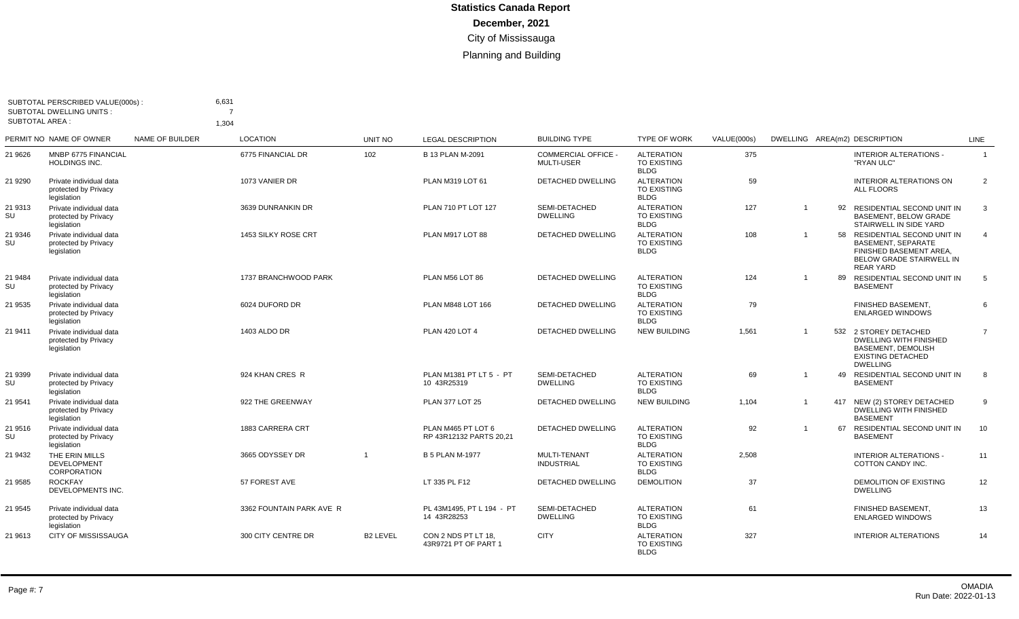|                       | SUBTOTAL PERSCRIBED VALUE(000s):<br><b>SUBTOTAL DWELLING UNITS:</b> |                 | 6,631<br>7               |                         |                                               |                                               |                                                        |             |                |    |                                                                                                                                       |                 |
|-----------------------|---------------------------------------------------------------------|-----------------|--------------------------|-------------------------|-----------------------------------------------|-----------------------------------------------|--------------------------------------------------------|-------------|----------------|----|---------------------------------------------------------------------------------------------------------------------------------------|-----------------|
| <b>SUBTOTAL AREA:</b> |                                                                     |                 | 1,304                    |                         |                                               |                                               |                                                        |             |                |    |                                                                                                                                       |                 |
|                       | PERMIT NO NAME OF OWNER                                             | NAME OF BUILDER | <b>LOCATION</b>          | <b>UNIT NO</b>          | <b>LEGAL DESCRIPTION</b>                      | <b>BUILDING TYPE</b>                          | <b>TYPE OF WORK</b>                                    | VALUE(000s) |                |    | DWELLING AREA(m2) DESCRIPTION                                                                                                         | <b>LINE</b>     |
| 21 9626               | MNBP 6775 FINANCIAL<br>HOLDINGS INC.                                |                 | 6775 FINANCIAL DR        | 102                     | <b>B 13 PLAN M-2091</b>                       | <b>COMMERCIAL OFFICE</b><br><b>MULTI-USER</b> | <b>ALTERATION</b><br>TO EXISTING<br><b>BLDG</b>        | 375         |                |    | <b>INTERIOR ALTERATIONS -</b><br>"RYAN ULC"                                                                                           | $\overline{1}$  |
| 21 9290               | Private individual data<br>protected by Privacy<br>legislation      |                 | 1073 VANIER DR           |                         | PLAN M319 LOT 61                              | <b>DETACHED DWELLING</b>                      | <b>ALTERATION</b><br><b>TO EXISTING</b><br><b>BLDG</b> | 59          |                |    | <b>INTERIOR ALTERATIONS ON</b><br><b>ALL FLOORS</b>                                                                                   | $\overline{2}$  |
| 21 9313<br>SU         | Private individual data<br>protected by Privacy<br>legislation      |                 | 3639 DUNRANKIN DR        |                         | PLAN 710 PT LOT 127                           | SEMI-DETACHED<br><b>DWELLING</b>              | <b>ALTERATION</b><br><b>TO EXISTING</b><br><b>BLDG</b> | 127         | $\overline{1}$ | 92 | RESIDENTIAL SECOND UNIT IN<br><b>BASEMENT, BELOW GRADE</b><br>STAIRWELL IN SIDE YARD                                                  | 3               |
| 21 9346<br>SU         | Private individual data<br>protected by Privacy<br>legislation      |                 | 1453 SILKY ROSE CRT      |                         | PLAN M917 LOT 88                              | <b>DETACHED DWELLING</b>                      | <b>ALTERATION</b><br><b>TO EXISTING</b><br><b>BLDG</b> | 108         | $\overline{1}$ |    | 58 RESIDENTIAL SECOND UNIT IN<br>BASEMENT, SEPARATE<br>FINISHED BASEMENT AREA,<br><b>BELOW GRADE STAIRWELL IN</b><br><b>REAR YARD</b> | $\overline{4}$  |
| 21 9484<br>SU         | Private individual data<br>protected by Privacy<br>legislation      |                 | 1737 BRANCHWOOD PARK     |                         | PLAN M56 LOT 86                               | <b>DETACHED DWELLING</b>                      | <b>ALTERATION</b><br>TO EXISTING<br><b>BLDG</b>        | 124         | $\overline{1}$ |    | 89 RESIDENTIAL SECOND UNIT IN<br><b>BASEMENT</b>                                                                                      | $5\overline{)}$ |
| 21 9535               | Private individual data<br>protected by Privacy<br>legislation      |                 | 6024 DUFORD DR           |                         | PLAN M848 LOT 166                             | <b>DETACHED DWELLING</b>                      | <b>ALTERATION</b><br>TO EXISTING<br><b>BLDG</b>        | 79          |                |    | FINISHED BASEMENT.<br><b>ENLARGED WINDOWS</b>                                                                                         | 6               |
| 21 9411               | Private individual data<br>protected by Privacy<br>legislation      |                 | 1403 ALDO DR             |                         | <b>PLAN 420 LOT 4</b>                         | <b>DETACHED DWELLING</b>                      | <b>NEW BUILDING</b>                                    | 1.561       | $\overline{1}$ |    | 532 2 STOREY DETACHED<br><b>DWELLING WITH FINISHED</b><br><b>BASEMENT, DEMOLISH</b><br><b>EXISTING DETACHED</b><br><b>DWELLING</b>    | $\overline{7}$  |
| 21 9399<br>SU         | Private individual data<br>protected by Privacy<br>legislation      |                 | 924 KHAN CRES R          |                         | PLAN M1381 PT LT 5 - PT<br>10 43R25319        | SEMI-DETACHED<br><b>DWELLING</b>              | <b>ALTERATION</b><br><b>TO EXISTING</b><br><b>BLDG</b> | 69          |                |    | 49 RESIDENTIAL SECOND UNIT IN<br><b>BASEMENT</b>                                                                                      | 8               |
| 21 9541               | Private individual data<br>protected by Privacy<br>legislation      |                 | 922 THE GREENWAY         |                         | <b>PLAN 377 LOT 25</b>                        | DETACHED DWELLING                             | <b>NEW BUILDING</b>                                    | 1,104       |                |    | 417 NEW (2) STOREY DETACHED<br>DWELLING WITH FINISHED<br><b>BASEMENT</b>                                                              | 9               |
| 21 9516<br>SU         | Private individual data<br>protected by Privacy<br>legislation      |                 | 1883 CARRERA CRT         |                         | PLAN M465 PT LOT 6<br>RP 43R12132 PARTS 20,21 | <b>DETACHED DWELLING</b>                      | <b>ALTERATION</b><br>TO EXISTING<br><b>BLDG</b>        | 92          | $\overline{1}$ | 67 | RESIDENTIAL SECOND UNIT IN<br><b>BASEMENT</b>                                                                                         | 10              |
| 21 9432               | THE ERIN MILLS<br><b>DEVELOPMENT</b><br>CORPORATION                 |                 | 3665 ODYSSEY DR          | $\overline{\mathbf{1}}$ | <b>B 5 PLAN M-1977</b>                        | <b>MULTI-TENANT</b><br><b>INDUSTRIAL</b>      | <b>ALTERATION</b><br><b>TO EXISTING</b><br><b>BLDG</b> | 2,508       |                |    | <b>INTERIOR ALTERATIONS -</b><br>COTTON CANDY INC.                                                                                    | 11              |
| 21 9585               | <b>ROCKFAY</b><br>DEVELOPMENTS INC.                                 |                 | 57 FOREST AVE            |                         | LT 335 PL F12                                 | <b>DETACHED DWELLING</b>                      | <b>DEMOLITION</b>                                      | 37          |                |    | DEMOLITION OF EXISTING<br><b>DWELLING</b>                                                                                             | 12              |
| 21 9545               | Private individual data<br>protected by Privacy<br>legislation      |                 | 3362 FOUNTAIN PARK AVE R |                         | PL 43M1495. PT L 194 - PT<br>14 43R28253      | SEMI-DETACHED<br><b>DWELLING</b>              | <b>ALTERATION</b><br><b>TO EXISTING</b><br><b>BLDG</b> | 61          |                |    | FINISHED BASEMENT,<br><b>ENLARGED WINDOWS</b>                                                                                         | 13              |
| 21 9613               | <b>CITY OF MISSISSAUGA</b>                                          |                 | 300 CITY CENTRE DR       | <b>B2 LEVEL</b>         | CON 2 NDS PT LT 18.<br>43R9721 PT OF PART 1   | <b>CITY</b>                                   | <b>ALTERATION</b><br><b>TO EXISTING</b><br><b>BLDG</b> | 327         |                |    | <b>INTERIOR ALTERATIONS</b>                                                                                                           | 14              |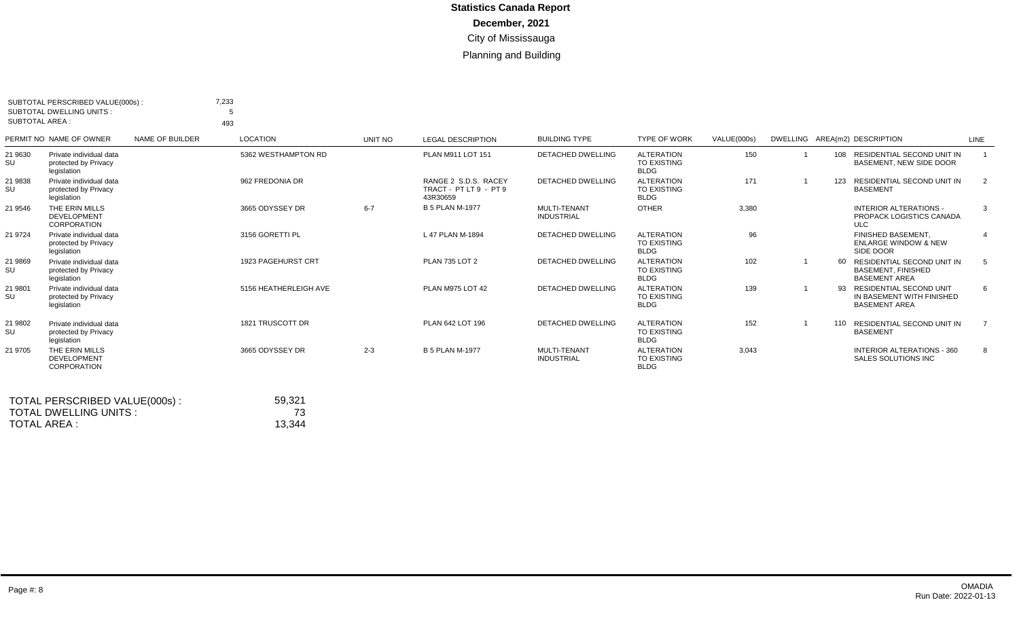|               | SUBTOTAL PERSCRIBED VALUE(000s):<br><b>SUBTOTAL DWELLING UNITS:</b><br><b>SUBTOTAL AREA:</b> |                 | 7,233<br>-5<br>493    |         |                                                            |                                          |                                                        |             |     |                                                                                     |      |
|---------------|----------------------------------------------------------------------------------------------|-----------------|-----------------------|---------|------------------------------------------------------------|------------------------------------------|--------------------------------------------------------|-------------|-----|-------------------------------------------------------------------------------------|------|
|               | PERMIT NO NAME OF OWNER                                                                      | NAME OF BUILDER | <b>LOCATION</b>       | UNIT NO | <b>LEGAL DESCRIPTION</b>                                   | <b>BUILDING TYPE</b>                     | <b>TYPE OF WORK</b>                                    | VALUE(000s) |     | DWELLING AREA(m2) DESCRIPTION                                                       | LINE |
| 21 9630<br>SU | Private individual data<br>protected by Privacy<br>legislation                               |                 | 5362 WESTHAMPTON RD   |         | PLAN M911 LOT 151                                          | <b>DETACHED DWELLING</b>                 | <b>ALTERATION</b><br><b>TO EXISTING</b><br><b>BLDG</b> | 150         |     | 108 RESIDENTIAL SECOND UNIT IN<br>BASEMENT, NEW SIDE DOOR                           |      |
| 21 9838<br>SU | Private individual data<br>protected by Privacy<br>legislation                               |                 | 962 FREDONIA DR       |         | RANGE 2 S.D.S. RACEY<br>TRACT - PT LT 9 - PT 9<br>43R30659 | DETACHED DWELLING                        | <b>ALTERATION</b><br><b>TO EXISTING</b><br><b>BLDG</b> | 171         | 123 | <b>RESIDENTIAL SECOND UNIT IN</b><br><b>BASEMENT</b>                                | 2    |
| 21 9546       | THE ERIN MILLS<br><b>DEVELOPMENT</b><br>CORPORATION                                          |                 | 3665 ODYSSEY DR       | $6 - 7$ | <b>B 5 PLAN M-1977</b>                                     | MULTI-TENANT<br><b>INDUSTRIAL</b>        | <b>OTHER</b>                                           | 3,380       |     | <b>INTERIOR ALTERATIONS -</b><br>PROPACK LOGISTICS CANADA<br><b>ULC</b>             | 3    |
| 21 9724       | Private individual data<br>protected by Privacy<br>legislation                               |                 | 3156 GORETTI PL       |         | L 47 PLAN M-1894                                           | <b>DETACHED DWELLING</b>                 | <b>ALTERATION</b><br><b>TO EXISTING</b><br><b>BLDG</b> | 96          |     | <b>FINISHED BASEMENT</b><br><b>ENLARGE WINDOW &amp; NEW</b><br>SIDE DOOR            |      |
| 21 9869<br>SU | Private individual data<br>protected by Privacy<br>legislation                               |                 | 1923 PAGEHURST CRT    |         | <b>PLAN 735 LOT 2</b>                                      | DETACHED DWELLING                        | <b>ALTERATION</b><br><b>TO EXISTING</b><br><b>BLDG</b> | 102         | 60  | RESIDENTIAL SECOND UNIT IN<br><b>BASEMENT, FINISHED</b><br><b>BASEMENT AREA</b>     | -5   |
| 21 9801<br>SU | Private individual data<br>protected by Privacy<br>legislation                               |                 | 5156 HEATHERLEIGH AVE |         | PLAN M975 LOT 42                                           | <b>DETACHED DWELLING</b>                 | <b>ALTERATION</b><br><b>TO EXISTING</b><br><b>BLDG</b> | 139         | 93  | <b>RESIDENTIAL SECOND UNIT</b><br>IN BASEMENT WITH FINISHED<br><b>BASEMENT AREA</b> | 6    |
| 21 9802<br>SU | Private individual data<br>protected by Privacy<br>legislation                               |                 | 1821 TRUSCOTT DR      |         | PLAN 642 LOT 196                                           | <b>DETACHED DWELLING</b>                 | <b>ALTERATION</b><br><b>TO EXISTING</b><br><b>BLDG</b> | 152         | 110 | RESIDENTIAL SECOND UNIT IN<br><b>BASEMENT</b>                                       |      |
| 21 9705       | THE ERIN MILLS<br><b>DEVELOPMENT</b><br>CORPORATION                                          |                 | 3665 ODYSSEY DR       | $2 - 3$ | <b>B 5 PLAN M-1977</b>                                     | <b>MULTI-TENANT</b><br><b>INDUSTRIAL</b> | <b>ALTERATION</b><br><b>TO EXISTING</b><br><b>BLDG</b> | 3,043       |     | INTERIOR ALTERATIONS - 360<br>SALES SOLUTIONS INC                                   | 8    |

| TOTAL PERSCRIBED VALUE(000s): | 59.321 |
|-------------------------------|--------|
| TOTAL DWELLING UNITS :        | 73     |
| TOTAL AREA :                  | 13.344 |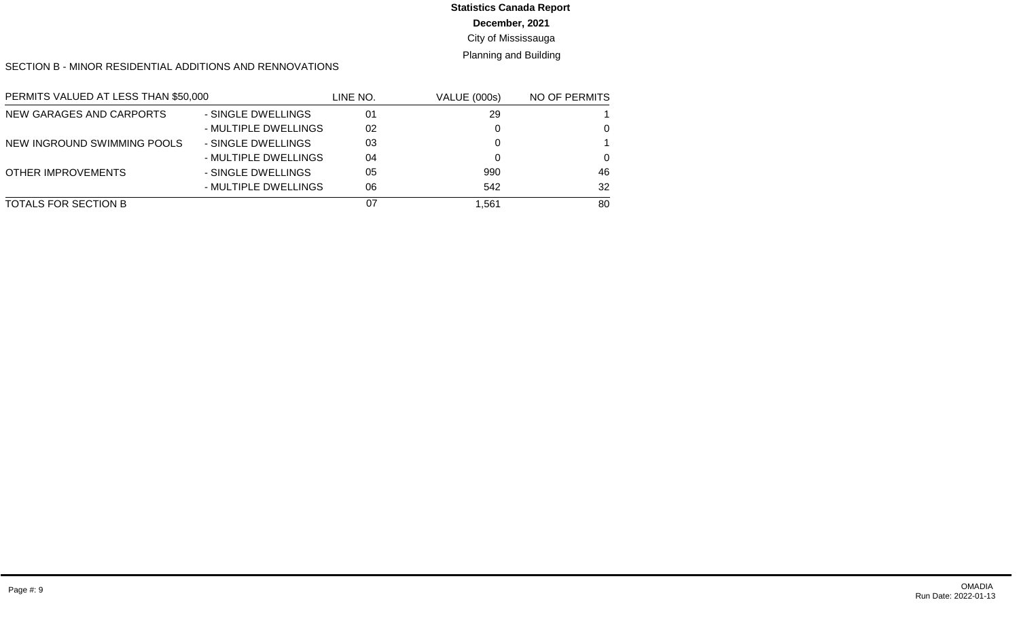# **Statistics Canada Report**

### **December, 2021**

### City of Mississauga

### Planning and Building

### SECTION B - MINOR RESIDENTIAL ADDITIONS AND RENNOVATIONS

| PERMITS VALUED AT LESS THAN \$50,000 |                      | LINE NO. | <b>VALUE (000s)</b> | NO OF PERMITS |
|--------------------------------------|----------------------|----------|---------------------|---------------|
| NEW GARAGES AND CARPORTS             | - SINGLE DWELLINGS   | 01       | 29                  |               |
|                                      | - MULTIPLE DWELLINGS | 02       |                     | 0             |
| NEW INGROUND SWIMMING POOLS          | - SINGLE DWELLINGS   | 03       |                     |               |
|                                      | - MULTIPLE DWELLINGS | 04       |                     | 0             |
| OTHER IMPROVEMENTS                   | - SINGLE DWELLINGS   | 05       | 990                 | 46            |
|                                      | - MULTIPLE DWELLINGS | 06       | 542                 | 32            |
| TOTALS FOR SECTION B                 |                      | 07       | 1.561               | 80            |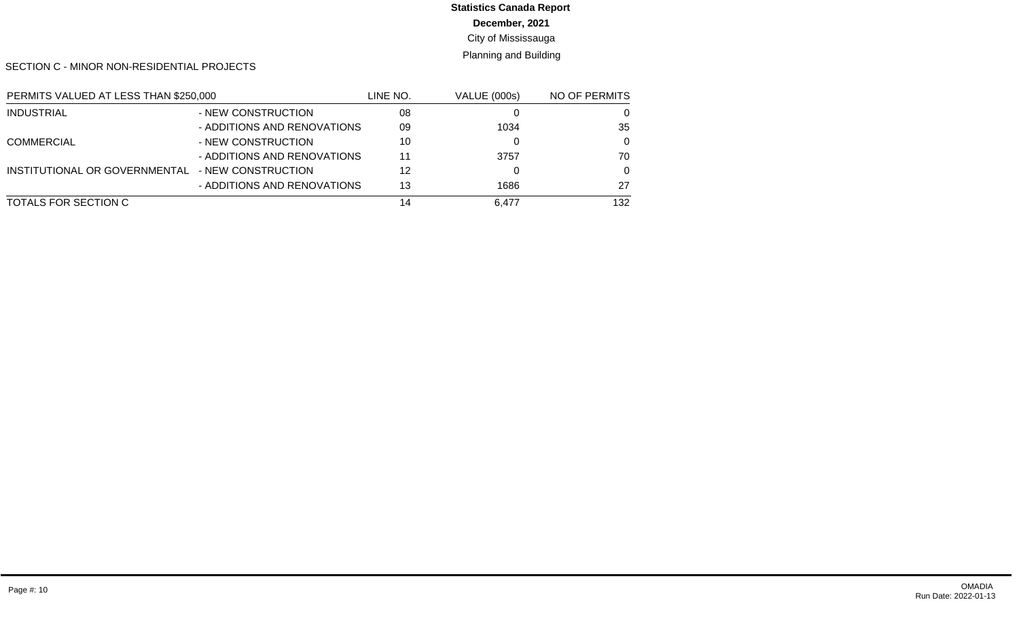# **Statistics Canada Report**

**December, 2021**

City of Mississauga

Planning and Building

SECTION C - MINOR NON-RESIDENTIAL PROJECTS

| PERMITS VALUED AT LESS THAN \$250,000 |                             | LINE NO. | <b>VALUE (000s)</b> | NO OF PERMITS |
|---------------------------------------|-----------------------------|----------|---------------------|---------------|
| <b>INDUSTRIAL</b>                     | - NEW CONSTRUCTION          | 08       |                     | O             |
|                                       | - ADDITIONS AND RENOVATIONS | 09       | 1034                | 35            |
| <b>COMMERCIAL</b>                     | - NEW CONSTRUCTION          | 10       |                     | $\Omega$      |
|                                       | - ADDITIONS AND RENOVATIONS | 11       | 3757                | 70            |
| INSTITUTIONAL OR GOVERNMENTAL         | - NEW CONSTRUCTION          | 12       |                     | $\Omega$      |
|                                       | - ADDITIONS AND RENOVATIONS | 13       | 1686                | 27            |
| TOTALS FOR SECTION C                  |                             | 14       | 6.477               | 132           |